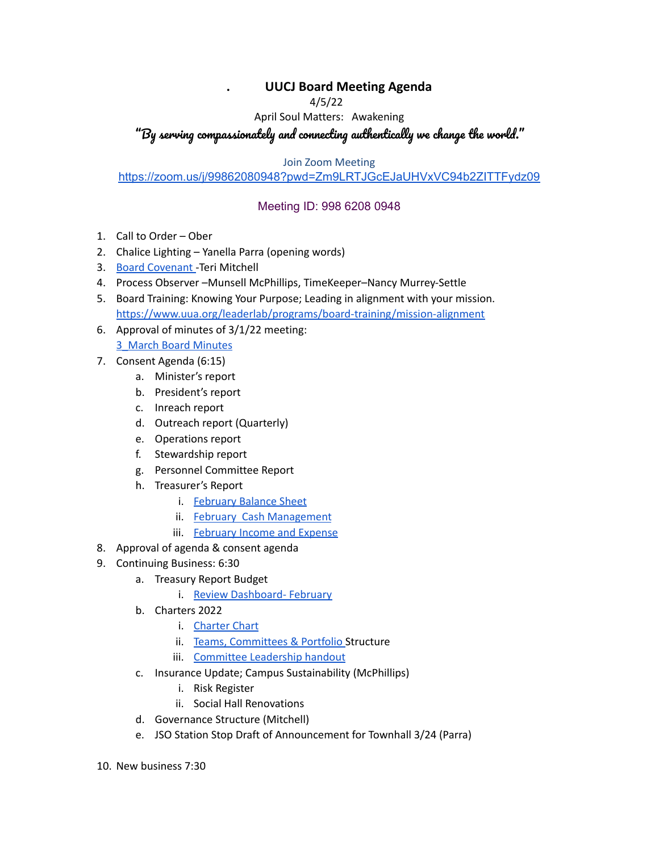## **. UUCJ Board Meeting Agenda**

4/5/22

April Soul Matters: Awakening

## "By serving compassionately and connecting authentically we change the world."

Join Zoom Meeting

## <https://zoom.us/j/99862080948?pwd=Zm9LRTJGcEJaUHVxVC94b2ZITTFydz09>

## Meeting ID: 998 6208 0948

- 1. Call to Order Ober
- 2. Chalice Lighting Yanella Parra (opening words)
- 3. Board [Covenant](https://www.uucj.org/governance/board-covenant/) -Teri Mitchell
- 4. Process Observer –Munsell McPhillips, TimeKeeper–Nancy Murrey-Settle
- 5. Board Training: Knowing Your Purpose; Leading in alignment with your mission. <https://www.uua.org/leaderlab/programs/board-training/mission-alignment>
- 6. Approval of minutes of 3/1/22 meeting:

[3\\_March](https://docs.google.com/document/d/1yGCbK3jdNBxs1PMRGwqdRcft9wGjjlX0/edit?usp=sharing&ouid=108618410980892576551&rtpof=true&sd=true) Board Minutes

- 7. Consent Agenda (6:15)
	- a. Minister's report
	- b. President's report
	- c. Inreach report
	- d. Outreach report (Quarterly)
	- e. Operations report
	- f. Stewardship report
	- g. Personnel Committee Report
	- h. Treasurer's Report
		- i. [February](https://drive.google.com/file/d/1ZmghZKH9aZK_QvGWuSeNhCEayaBdq2YN/view?usp=sharing) Balance Sheet
		- ii. February Cash [Management](https://drive.google.com/file/d/1EMx0PBq49L5sZiPuNLgxzVWH2Z2LuuI_/view?usp=sharing)
		- iii. [February](https://drive.google.com/file/d/1xO1QnszJFy_ecC66MilnSpZMtzB8cd3B/view?usp=sharing) Income and Expense
- 8. Approval of agenda & consent agenda
- 9. Continuing Business: 6:30
	- a. Treasury Report Budget
		- i. Review [Dashboard-](https://docs.google.com/spreadsheets/d/1eTa3tz0OUqZ-uXsVI3A7dHOsKfDhrRFL/edit?usp=sharing&ouid=108618410980892576551&rtpof=true&sd=true) February
	- b. Charters 2022
		- i. [Charter](https://docs.google.com/document/d/1Ves126M_UE7Iew4KPkslz0oUq70OoPSY/edit?usp=sharing&ouid=108618410980892576551&rtpof=true&sd=true) Chart
		- ii. Teams, [Committees](https://docs.google.com/document/d/1GPNu-HqlnXPj7mcvrwWnVCiapNJ3gA30/edit?usp=sharing&ouid=108618410980892576551&rtpof=true&sd=true) & Portfolio Structure
		- iii. [Committee](https://docs.google.com/document/d/1DxK5fbGQb4my1lTRoNqZKWZBOieourZK/edit?usp=sharing&ouid=108618410980892576551&rtpof=true&sd=true) Leadership handout
	- c. Insurance Update; Campus Sustainability (McPhillips)
		- i. Risk Register
		- ii. Social Hall Renovations
	- d. Governance Structure (Mitchell)
	- e. JSO Station Stop Draft of Announcement for Townhall 3/24 (Parra)
- 10. New business 7:30